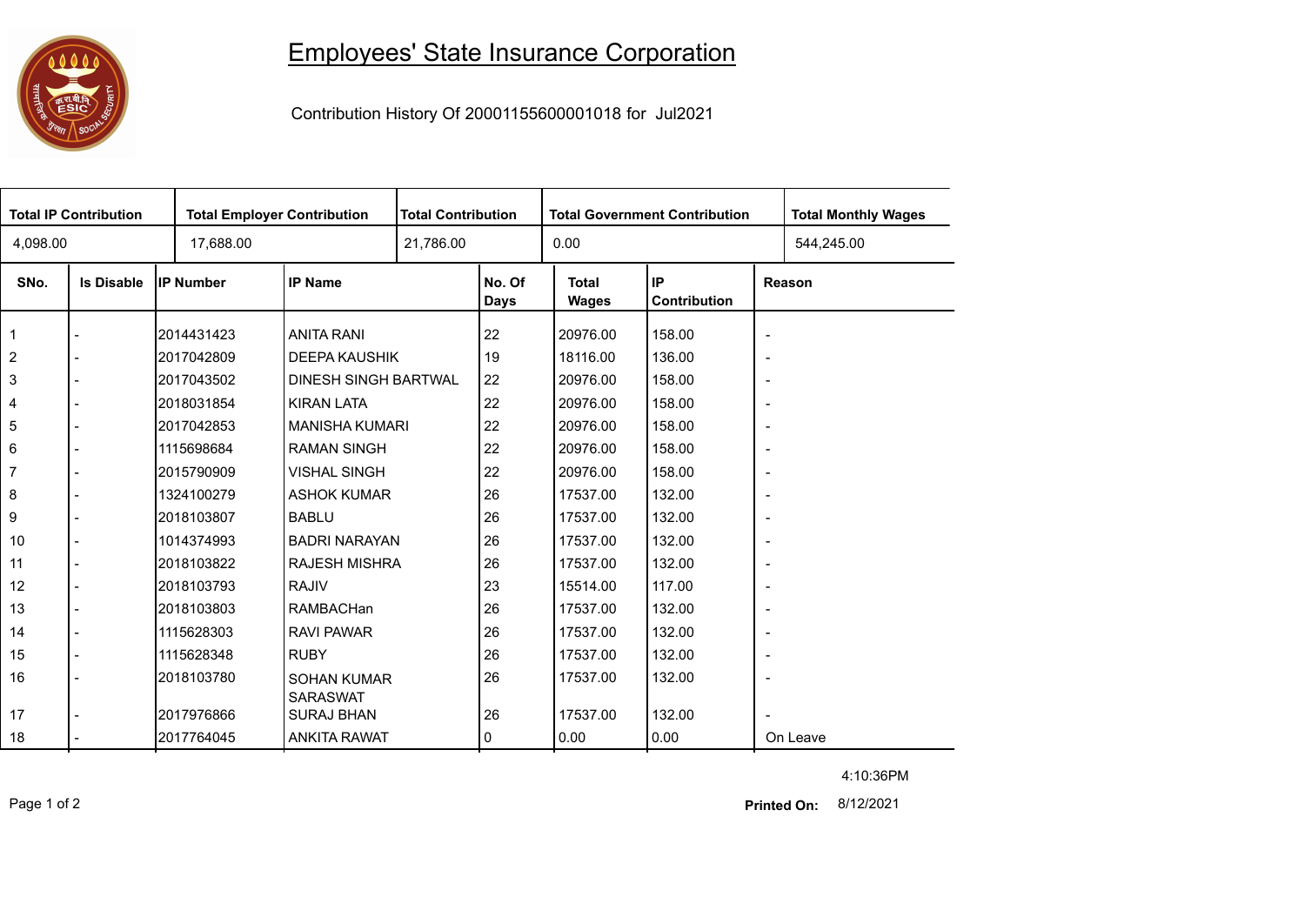

## Employees' State Insurance Corporation

Contribution History Of 20001155600001018 for Jul2021

| <b>Total IP Contribution</b> |                   |                  | <b>Total Employer Contribution</b> |           | <b>Total Contribution</b> |                       | <b>Total Government Contribution</b> | <b>Total Monthly Wages</b> |            |  |
|------------------------------|-------------------|------------------|------------------------------------|-----------|---------------------------|-----------------------|--------------------------------------|----------------------------|------------|--|
| 4,098.00                     |                   | 17,688.00        |                                    | 21,786.00 |                           | 0.00                  |                                      |                            | 544,245.00 |  |
| SNo.                         | <b>Is Disable</b> | <b>IP Number</b> | <b>IP Name</b>                     |           | No. Of<br>Days            | <b>Total</b><br>Wages | IP<br>Contribution                   | Reason                     |            |  |
| 1                            |                   | 2014431423       | <b>ANITA RANI</b>                  |           | 22                        | 20976.00              | 158.00                               | $\overline{\phantom{a}}$   |            |  |
| $\overline{c}$               |                   | 2017042809       | <b>DEEPA KAUSHIK</b>               |           | 19                        | 18116.00              | 136.00                               | $\overline{\phantom{a}}$   |            |  |
| 3                            |                   | 2017043502       | <b>DINESH SINGH BARTWAL</b>        |           | 22                        | 20976.00              | 158.00                               | $\overline{\phantom{a}}$   |            |  |
| 4                            |                   | 2018031854       | <b>KIRAN LATA</b>                  |           | 22                        | 20976.00              | 158.00                               | $\overline{\phantom{a}}$   |            |  |
| 5                            |                   | 2017042853       | <b>MANISHA KUMARI</b>              |           | 22                        | 20976.00              | 158.00                               | $\overline{\phantom{a}}$   |            |  |
| 6                            |                   | 1115698684       | <b>RAMAN SINGH</b>                 |           | 22                        | 20976.00              | 158.00                               | $\overline{\phantom{a}}$   |            |  |
| 7                            |                   | 2015790909       | <b>VISHAL SINGH</b>                |           | 22                        | 20976.00              | 158.00                               | $\overline{\phantom{a}}$   |            |  |
| 8                            |                   | 1324100279       | <b>ASHOK KUMAR</b>                 |           | 26                        | 17537.00              | 132.00                               | $\overline{\phantom{a}}$   |            |  |
| 9                            |                   | 2018103807       | <b>BABLU</b>                       |           | 26                        | 17537.00              | 132.00                               | $\overline{\phantom{a}}$   |            |  |
| 10                           |                   | 1014374993       | <b>BADRI NARAYAN</b>               |           | 26                        | 17537.00              | 132.00                               | $\overline{\phantom{a}}$   |            |  |
| 11                           |                   | 2018103822       | <b>RAJESH MISHRA</b>               |           | 26                        | 17537.00              | 132.00                               | $\overline{\phantom{a}}$   |            |  |
| 12                           |                   | 2018103793       | <b>RAJIV</b>                       |           | 23                        | 15514.00              | 117.00                               | $\overline{\phantom{a}}$   |            |  |
| 13                           |                   | 2018103803       | RAMBACHan                          |           | 26                        | 17537.00              | 132.00                               | $\overline{\phantom{a}}$   |            |  |
| 14                           |                   | 1115628303       | <b>RAVI PAWAR</b>                  |           | 26                        | 17537.00              | 132.00                               | $\overline{\phantom{a}}$   |            |  |
| 15                           |                   | 1115628348       | <b>RUBY</b>                        |           | 26                        | 17537.00              | 132.00                               | $\overline{\phantom{a}}$   |            |  |
| 16                           |                   | 2018103780       | <b>SOHAN KUMAR</b>                 |           | 26                        | 17537.00              | 132.00                               | $\overline{\phantom{a}}$   |            |  |
|                              |                   |                  | <b>SARASWAT</b>                    |           |                           |                       |                                      |                            |            |  |
| 17                           |                   | 2017976866       | <b>SURAJ BHAN</b>                  |           | 26                        | 17537.00              | 132.00                               |                            |            |  |
| 18                           |                   | 2017764045       | <b>ANKITA RAWAT</b>                |           | 0                         | 0.00                  | 0.00                                 |                            | On Leave   |  |

Page 1 of 2 8/12/2021 **Printed On:**

4:10:36PM